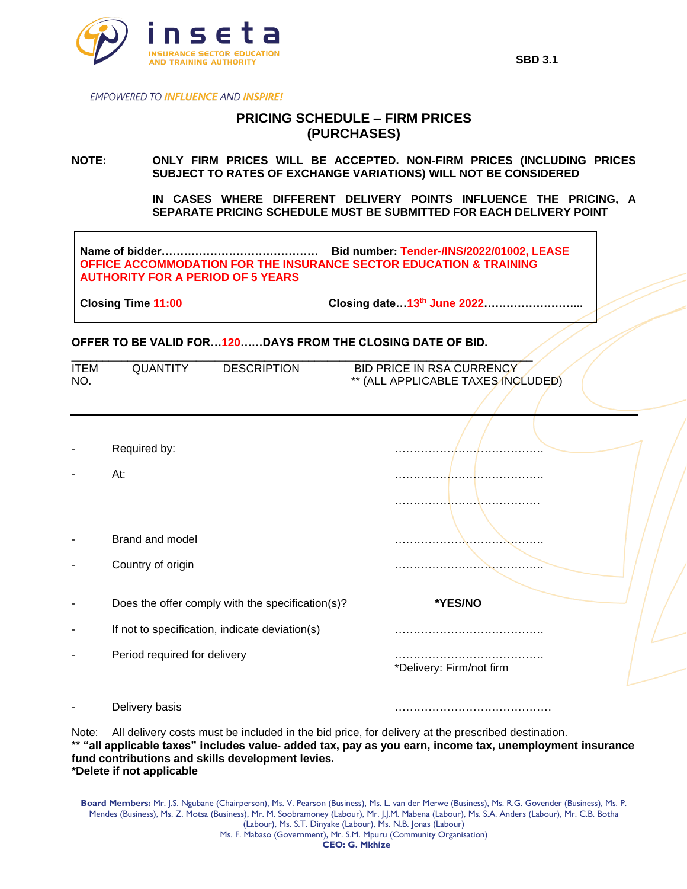

**EMPOWERED TO INFLUENCE AND INSPIRE!** 

## **PRICING SCHEDULE – FIRM PRICES (PURCHASES)**

**NOTE: ONLY FIRM PRICES WILL BE ACCEPTED. NON-FIRM PRICES (INCLUDING PRICES SUBJECT TO RATES OF EXCHANGE VARIATIONS) WILL NOT BE CONSIDERED**

> **IN CASES WHERE DIFFERENT DELIVERY POINTS INFLUENCE THE PRICING, A SEPARATE PRICING SCHEDULE MUST BE SUBMITTED FOR EACH DELIVERY POINT**

**Name of bidder…………………………………… Bid number: Tender-/INS/2022/01002, LEASE OFFICE ACCOMMODATION FOR THE INSURANCE SECTOR EDUCATION & TRAINING AUTHORITY FOR A PERIOD OF 5 YEARS**

**Closing Time 11:00 Closing date…13th June 2022……………………...**

## **OFFER TO BE VALID FOR…120……DAYS FROM THE CLOSING DATE OF BID.**

| <b>ITEM</b><br>NO. | QUANTITY                                                                                         | <b>DESCRIPTION</b>                             | BID PRICE IN RSA CURRENCY<br>** (ALL APPLICABLE TAXES INCLUDED) |  |  |  |
|--------------------|--------------------------------------------------------------------------------------------------|------------------------------------------------|-----------------------------------------------------------------|--|--|--|
|                    |                                                                                                  |                                                |                                                                 |  |  |  |
|                    |                                                                                                  |                                                |                                                                 |  |  |  |
|                    | Required by:                                                                                     |                                                |                                                                 |  |  |  |
|                    | At:                                                                                              |                                                |                                                                 |  |  |  |
|                    |                                                                                                  |                                                |                                                                 |  |  |  |
|                    |                                                                                                  |                                                |                                                                 |  |  |  |
|                    | Brand and model                                                                                  |                                                |                                                                 |  |  |  |
|                    | Country of origin                                                                                |                                                |                                                                 |  |  |  |
|                    | Does the offer comply with the specification(s)?                                                 |                                                | *YES/NO                                                         |  |  |  |
|                    |                                                                                                  | If not to specification, indicate deviation(s) |                                                                 |  |  |  |
|                    | Period required for delivery                                                                     |                                                |                                                                 |  |  |  |
|                    |                                                                                                  |                                                | *Delivery: Firm/not firm                                        |  |  |  |
|                    | Delivery basis                                                                                   |                                                |                                                                 |  |  |  |
| Note∙              | All delivery costs must be included in the bid price, for delivery at the prescribed destination |                                                |                                                                 |  |  |  |

All delivery costs must be included in the bid price, for delivery at the prescribed destination. **\*\* "all applicable taxes" includes value- added tax, pay as you earn, income tax, unemployment insurance fund contributions and skills development levies. \*Delete if not applicable**